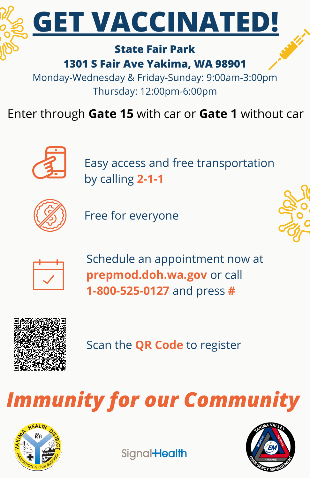

### **1301 S Fair Ave Yakima, WA 98901**

Monday-Wednesday & Friday-Sunday: 9:00am-3:00pm Thursday: 12:00pm-6:00pm

Enter through **Gate 15** with car or **Gate 1** without car



Easy access and free transportation by calling **2-1-1**



Free for everyone





Schedule an appointment now at **prepmod.doh.wa.gov** or call **1-800-525-0127** and press **#**



Scan the **QR Code** to register

*Immunity for our Community*



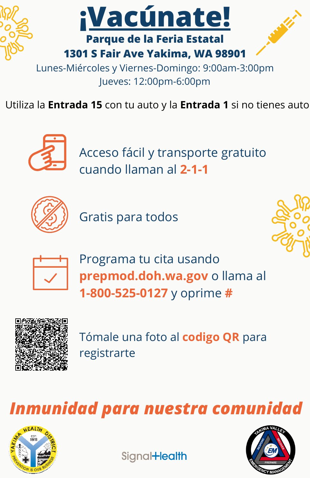

Jueves: 12:00pm-6:00pm

Utiliza la **Entrada 15** con tu auto y la **Entrada 1** si no tienes auto



Acceso fácil y transporte gratuito cuando llaman al **2-1-1**



Gratis para todos





Programa tu cita usando **prepmod.doh.wa.gov** o llama al **1-800-525-0127** y oprime **#**



Tómale una foto al **codigo QR** para registrarte

#### *Inmunidad para nuestra comunidad*



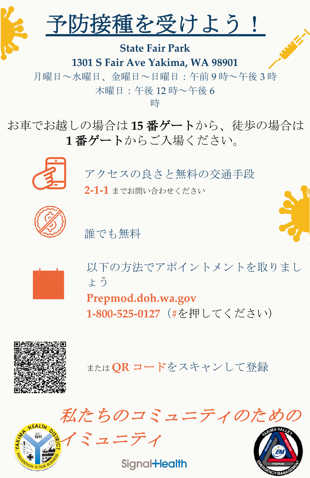

予防接種を受けよう!

**State Fair Park 1301 S Fair Ave Yakima, WA 98901**

月曜日~水曜日、金曜日~日曜日:午前 9 時~午後 3 時 木曜日:午後 12 時~午後 6

時

お車でお越しの場合は **15** 番ゲートから、徒歩の場合は **1** 番ゲートからご入場ください。



アクセスの良さと無料の交通手段 **2-1-1** までお問い合わせください



誰でも無料



以下の方法でアポイントメントを取りまし ょう

**Prepmod.doh.wa.gov 1-800-525-0127**(**#**を押してください)



または **QR** コードをスキャンして登録



イミュニティ

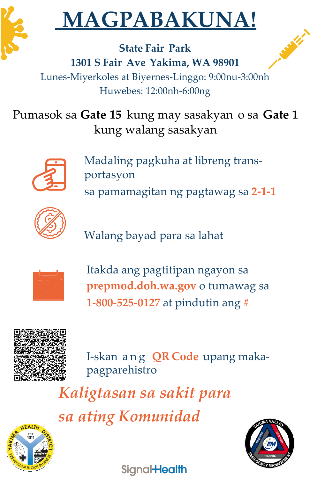

## **MAGPABAKUNA!**

**State Fair Park 1301 S Fair Ave Yakima, WA 98901** Lunes-Miyerkoles at Biyernes-Linggo: 9:00nu-3:00nh Huwebes: 12:00nh-6:00ng

Pumasok sa **Gate 15** kung may sasakyan o sa **Gate 1** kung walang sasakyan



Madaling pagkuha at libreng transportasyon sa pamamagitan ng pagtawag sa **2-1-1**



Walang bayad para sa lahat



Itakda ang pagtitipan ngayon sa **prepmod.doh.wa.gov** o tumawag sa **1-800-525-0127** at pindutin ang **#**



I-skan a n g **QR Code** upang makapagparehistro

*Kaligtasan sa sakit para sa ating Komunidad*



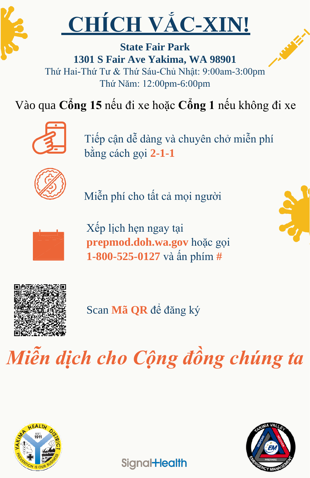

# **CHÍCH VẮC-XIN!**

**State Fair Park 1301 S Fair Ave Yakima, WA 98901** Thứ Hai-Thứ Tư & Thứ Sáu-Chủ Nhật: 9:00am-3:00pm Thứ Năm: 12:00pm-6:00pm

Vào qua **Cổng 15** nếu đi xe hoặc **Cổng 1** nếu không đi xe



Tiếp cận dễ dàng và chuyên chở miễn phí bằng cách gọi **2-1-1**



Miễn phí cho tất cả mọi người



Xếp lịch hẹn ngay tại **prepmod.doh.wa.gov** hoặc gọi **1-800-525-0127** và ấn phím **#**





Scan **Mã QR** để đăng ký

## *Miễn dịch cho Cộng đồng chúng ta*